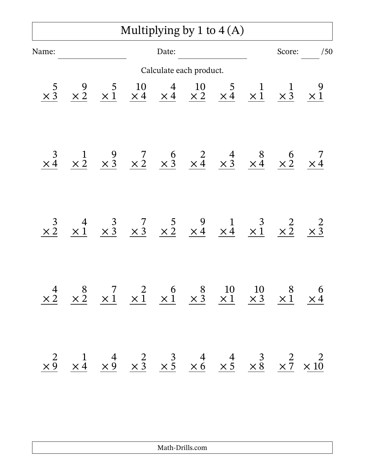## Multiplying by 1 to 4 (A)

| Name:                 |                                                                                                                                                                                                   |  | Date: |                         |  |                                                                                                                                                                                                     | Score: /50 |
|-----------------------|---------------------------------------------------------------------------------------------------------------------------------------------------------------------------------------------------|--|-------|-------------------------|--|-----------------------------------------------------------------------------------------------------------------------------------------------------------------------------------------------------|------------|
|                       |                                                                                                                                                                                                   |  |       | Calculate each product. |  |                                                                                                                                                                                                     |            |
| $\times$ <sup>5</sup> |                                                                                                                                                                                                   |  |       |                         |  | $\begin{array}{ccccccccc}\n9 & 5 & 10 & 4 & 10 & 5 & 1 & 1 & 9 \\ \times & 2 & \times & 1 & \times & 4 & \times & 4 & \times & 2 & \times & 4 & \times & 1 & \times & 3 & \times & 1\n\end{array}$  |            |
| $\times \frac{3}{4}$  |                                                                                                                                                                                                   |  |       |                         |  | $\begin{array}{ccccccccc}\n & 1 & 9 & 7 & 6 & 2 & 4 & 8 & 6 & 7 \\ \times & 2 & \times & 3 & \times & 2 & \times & 3 & \times & 4 & \times & 3 & \times & 4 & \times & 2 & \times & 4\n\end{array}$ |            |
| $\times \frac{3}{2}$  |                                                                                                                                                                                                   |  |       |                         |  | $\begin{array}{ccccccccc}\n & 4 & 3 & 7 & 5 & 9 & 1 & 3 & 2 & 2 \\ \times & 1 & \times & 3 & \times & 3 & \times & 2 & \times & 4 & \times & 4 & \times & 1 & \times & 2 & \times & 3\n\end{array}$ |            |
| $\frac{4}{\times 2}$  |                                                                                                                                                                                                   |  |       |                         |  | $\begin{array}{ccccccccc}\n8 & 7 & 2 & 6 & 8 & 10 & 10 & 8 & 6 \\ \times & 2 & \times 1 & \times 1 & \times 1 & \times 3 & \times 1 & \times 3 & \times 1 & \times 4\n\end{array}$                  |            |
|                       | $\begin{array}{ccccccccc}\n & 2 & 1 & 4 & 2 & 3 & 4 & 4 & 3 & 2 & 2 \\ \times 9 & \times 4 & \times 9 & \times 3 & \times 5 & \times 6 & \times 5 & \times 8 & \times 7 & \times 10\n\end{array}$ |  |       |                         |  |                                                                                                                                                                                                     |            |